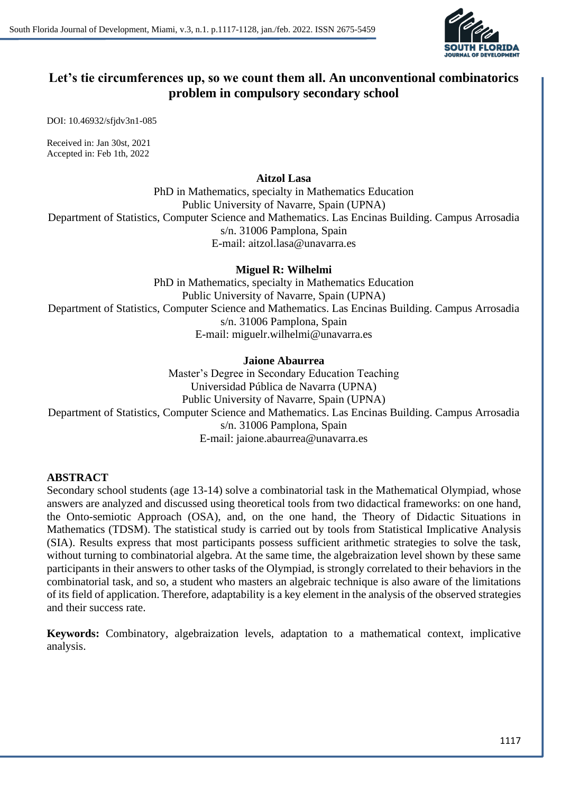

# **Let's tie circumferences up, so we count them all. An unconventional combinatorics problem in compulsory secondary school**

DOI: 10.46932/sfjdv3n1-085

Received in: Jan 30st, 2021 Accepted in: Feb 1th, 2022

#### **Aitzol Lasa**

PhD in Mathematics, specialty in Mathematics Education Public University of Navarre, Spain (UPNA) Department of Statistics, Computer Science and Mathematics. Las Encinas Building. Campus Arrosadia s/n. 31006 Pamplona, Spain E-mail: aitzol.lasa@unavarra.es

# **Miguel R: Wilhelmi**

PhD in Mathematics, specialty in Mathematics Education Public University of Navarre, Spain (UPNA) Department of Statistics, Computer Science and Mathematics. Las Encinas Building. Campus Arrosadia s/n. 31006 Pamplona, Spain E-mail: miguelr.wilhelmi@unavarra.es

# **Jaione Abaurrea**

Master's Degree in Secondary Education Teaching Universidad Pública de Navarra (UPNA) Public University of Navarre, Spain (UPNA) Department of Statistics, Computer Science and Mathematics. Las Encinas Building. Campus Arrosadia s/n. 31006 Pamplona, Spain E-mail: jaione.abaurrea@unavarra.es

# **ABSTRACT**

Secondary school students (age 13-14) solve a combinatorial task in the Mathematical Olympiad, whose answers are analyzed and discussed using theoretical tools from two didactical frameworks: on one hand, the Onto-semiotic Approach (OSA), and, on the one hand, the Theory of Didactic Situations in Mathematics (TDSM). The statistical study is carried out by tools from Statistical Implicative Analysis (SIA). Results express that most participants possess sufficient arithmetic strategies to solve the task, without turning to combinatorial algebra. At the same time, the algebraization level shown by these same participants in their answers to other tasks of the Olympiad, is strongly correlated to their behaviors in the combinatorial task, and so, a student who masters an algebraic technique is also aware of the limitations of its field of application. Therefore, adaptability is a key element in the analysis of the observed strategies and their success rate.

**Keywords:** Combinatory, algebraization levels, adaptation to a mathematical context, implicative analysis.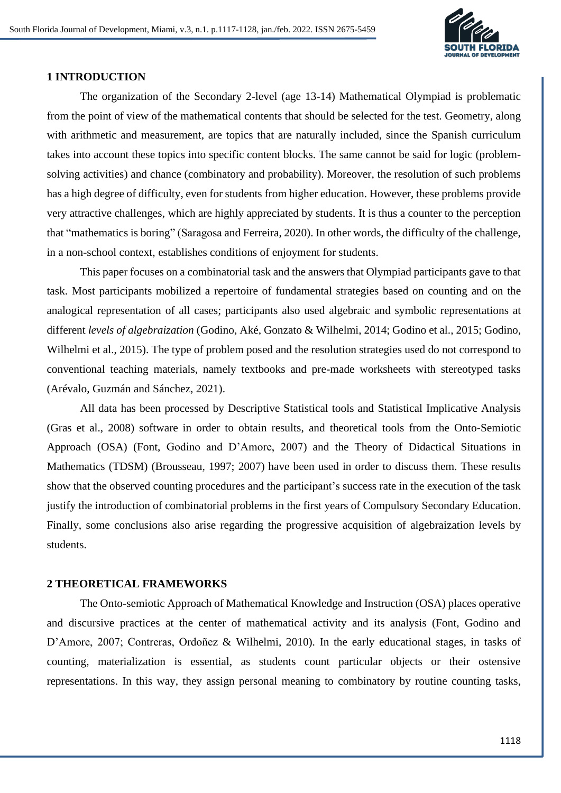

#### **1 INTRODUCTION**

The organization of the Secondary 2-level (age 13-14) Mathematical Olympiad is problematic from the point of view of the mathematical contents that should be selected for the test. Geometry, along with arithmetic and measurement, are topics that are naturally included, since the Spanish curriculum takes into account these topics into specific content blocks. The same cannot be said for logic (problemsolving activities) and chance (combinatory and probability). Moreover, the resolution of such problems has a high degree of difficulty, even for students from higher education. However, these problems provide very attractive challenges, which are highly appreciated by students. It is thus a counter to the perception that "mathematics is boring" (Saragosa and Ferreira, 2020). In other words, the difficulty of the challenge, in a non-school context, establishes conditions of enjoyment for students.

This paper focuses on a combinatorial task and the answers that Olympiad participants gave to that task. Most participants mobilized a repertoire of fundamental strategies based on counting and on the analogical representation of all cases; participants also used algebraic and symbolic representations at different *levels of algebraization* (Godino, Aké, Gonzato & Wilhelmi, 2014; Godino et al., 2015; Godino, Wilhelmi et al., 2015). The type of problem posed and the resolution strategies used do not correspond to conventional teaching materials, namely textbooks and pre-made worksheets with stereotyped tasks (Arévalo, Guzmán and Sánchez, 2021).

All data has been processed by Descriptive Statistical tools and Statistical Implicative Analysis (Gras et al., 2008) software in order to obtain results, and theoretical tools from the Onto-Semiotic Approach (OSA) (Font, Godino and D'Amore, 2007) and the Theory of Didactical Situations in Mathematics (TDSM) (Brousseau, 1997; 2007) have been used in order to discuss them. These results show that the observed counting procedures and the participant's success rate in the execution of the task justify the introduction of combinatorial problems in the first years of Compulsory Secondary Education. Finally, some conclusions also arise regarding the progressive acquisition of algebraization levels by students.

### **2 THEORETICAL FRAMEWORKS**

The Onto-semiotic Approach of Mathematical Knowledge and Instruction (OSA) places operative and discursive practices at the center of mathematical activity and its analysis (Font, Godino and D'Amore, 2007; Contreras, Ordoñez & Wilhelmi, 2010). In the early educational stages, in tasks of counting, materialization is essential, as students count particular objects or their ostensive representations. In this way, they assign personal meaning to combinatory by routine counting tasks,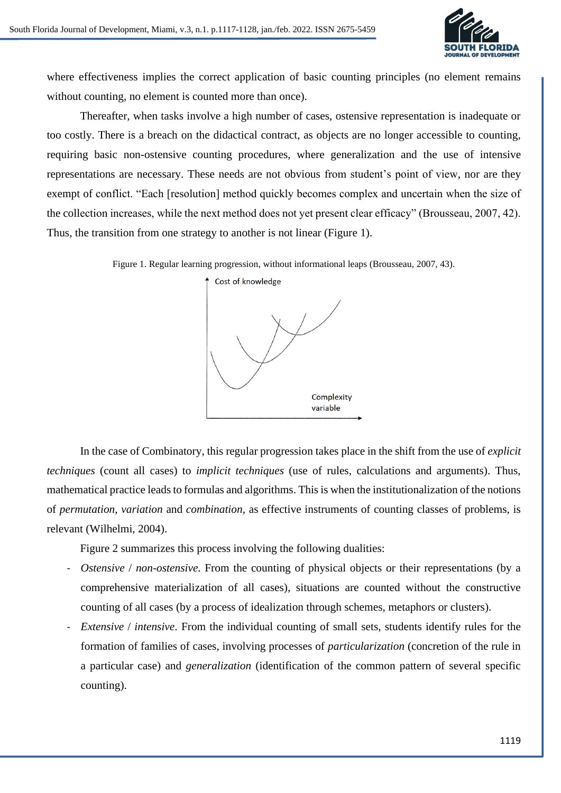

where effectiveness implies the correct application of basic counting principles (no element remains without counting, no element is counted more than once).

Thereafter, when tasks involve a high number of cases, ostensive representation is inadequate or too costly. There is a breach on the didactical contract, as objects are no longer accessible to counting, requiring basic non-ostensive counting procedures, where generalization and the use of intensive representations are necessary. These needs are not obvious from student's point of view, nor are they exempt of conflict. "Each [resolution] method quickly becomes complex and uncertain when the size of the collection increases, while the next method does not yet present clear efficacy" (Brousseau, 2007, 42). Thus, the transition from one strategy to another is not linear (Figure 1).

Figure 1. Regular learning progression, without informational leaps (Brousseau, 2007, 43).



In the case of Combinatory, this regular progression takes place in the shift from the use of *explicit techniques* (count all cases) to *implicit techniques* (use of rules, calculations and arguments). Thus, mathematical practice leads to formulas and algorithms. This is when the institutionalization of the notions of *permutation*, *variation* and *combination*, as effective instruments of counting classes of problems, is relevant (Wilhelmi, 2004).

Figure 2 summarizes this process involving the following dualities:

- *Ostensive* / *non-ostensive*. From the counting of physical objects or their representations (by a comprehensive materialization of all cases), situations are counted without the constructive counting of all cases (by a process of idealization through schemes, metaphors or clusters).
- *Extensive* / *intensive*. From the individual counting of small sets, students identify rules for the formation of families of cases, involving processes of *particularization* (concretion of the rule in a particular case) and *generalization* (identification of the common pattern of several specific counting).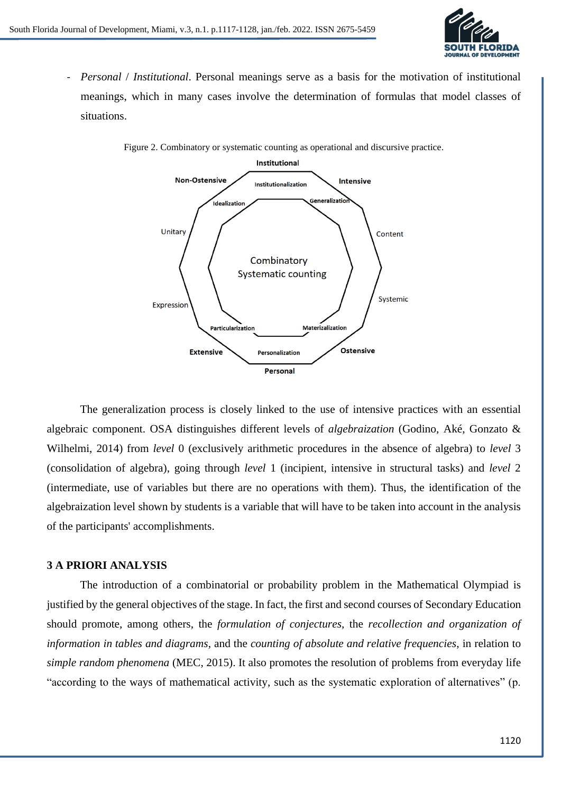

- *Personal* / *Institutional*. Personal meanings serve as a basis for the motivation of institutional meanings, which in many cases involve the determination of formulas that model classes of situations.



Figure 2. Combinatory or systematic counting as operational and discursive practice.

The generalization process is closely linked to the use of intensive practices with an essential algebraic component. OSA distinguishes different levels of *algebraization* (Godino, Aké, Gonzato & Wilhelmi, 2014) from *level* 0 (exclusively arithmetic procedures in the absence of algebra) to *level* 3 (consolidation of algebra), going through *level* 1 (incipient, intensive in structural tasks) and *level* 2 (intermediate, use of variables but there are no operations with them). Thus, the identification of the algebraization level shown by students is a variable that will have to be taken into account in the analysis of the participants' accomplishments.

#### **3 A PRIORI ANALYSIS**

The introduction of a combinatorial or probability problem in the Mathematical Olympiad is justified by the general objectives of the stage. In fact, the first and second courses of Secondary Education should promote, among others, the *formulation of conjectures*, the *recollection and organization of information in tables and diagrams*, and the *counting of absolute and relative frequencies*, in relation to *simple random phenomena* (MEC, 2015). It also promotes the resolution of problems from everyday life "according to the ways of mathematical activity, such as the systematic exploration of alternatives" (p.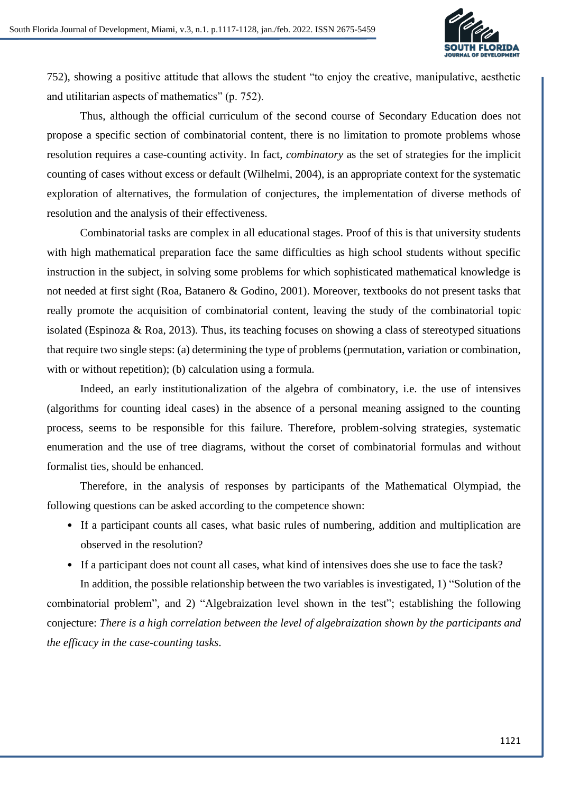

752), showing a positive attitude that allows the student "to enjoy the creative, manipulative, aesthetic and utilitarian aspects of mathematics" (p. 752).

Thus, although the official curriculum of the second course of Secondary Education does not propose a specific section of combinatorial content, there is no limitation to promote problems whose resolution requires a case-counting activity. In fact, *combinatory* as the set of strategies for the implicit counting of cases without excess or default (Wilhelmi, 2004), is an appropriate context for the systematic exploration of alternatives, the formulation of conjectures, the implementation of diverse methods of resolution and the analysis of their effectiveness.

Combinatorial tasks are complex in all educational stages. Proof of this is that university students with high mathematical preparation face the same difficulties as high school students without specific instruction in the subject, in solving some problems for which sophisticated mathematical knowledge is not needed at first sight (Roa, Batanero & Godino, 2001). Moreover, textbooks do not present tasks that really promote the acquisition of combinatorial content, leaving the study of the combinatorial topic isolated (Espinoza & Roa, 2013). Thus, its teaching focuses on showing a class of stereotyped situations that require two single steps: (a) determining the type of problems (permutation, variation or combination, with or without repetition); (b) calculation using a formula.

Indeed, an early institutionalization of the algebra of combinatory, i.e. the use of intensives (algorithms for counting ideal cases) in the absence of a personal meaning assigned to the counting process, seems to be responsible for this failure. Therefore, problem-solving strategies, systematic enumeration and the use of tree diagrams, without the corset of combinatorial formulas and without formalist ties, should be enhanced.

Therefore, in the analysis of responses by participants of the Mathematical Olympiad, the following questions can be asked according to the competence shown:

- If a participant counts all cases, what basic rules of numbering, addition and multiplication are observed in the resolution?
- If a participant does not count all cases, what kind of intensives does she use to face the task?

In addition, the possible relationship between the two variables is investigated, 1) "Solution of the combinatorial problem", and 2) "Algebraization level shown in the test"; establishing the following conjecture: *There is a high correlation between the level of algebraization shown by the participants and the efficacy in the case-counting tasks*.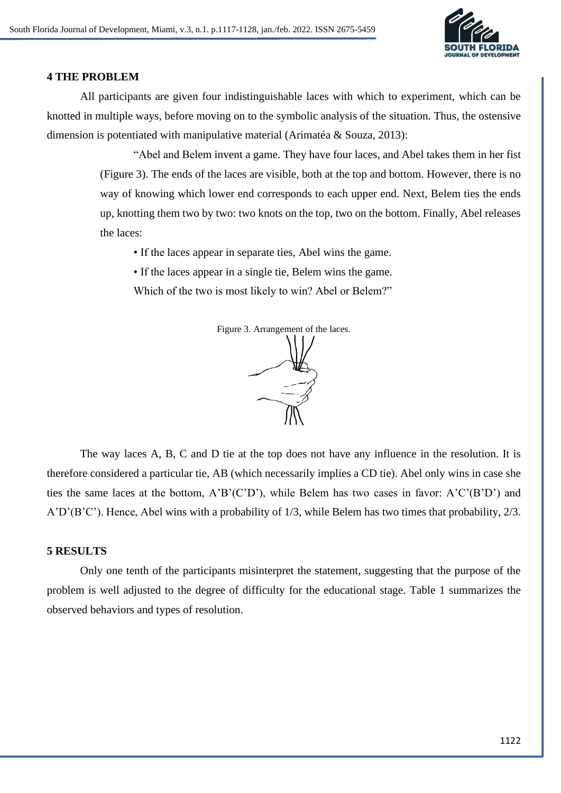

#### **4 THE PROBLEM**

All participants are given four indistinguishable laces with which to experiment, which can be knotted in multiple ways, before moving on to the symbolic analysis of the situation. Thus, the ostensive dimension is potentiated with manipulative material (Arimatéa & Souza, 2013):

> "Abel and Belem invent a game. They have four laces, and Abel takes them in her fist (Figure 3). The ends of the laces are visible, both at the top and bottom. However, there is no way of knowing which lower end corresponds to each upper end. Next, Belem ties the ends up, knotting them two by two: two knots on the top, two on the bottom. Finally, Abel releases the laces:

• If the laces appear in separate ties, Abel wins the game.

• If the laces appear in a single tie, Belem wins the game.

Which of the two is most likely to win? Abel or Belem?"



The way laces A, B, C and D tie at the top does not have any influence in the resolution. It is therefore considered a particular tie, AB (which necessarily implies a CD tie). Abel only wins in case she ties the same laces at the bottom, A'B'(C'D'), while Belem has two cases in favor: A'C'(B'D') and A'D'(B'C'). Hence, Abel wins with a probability of 1/3, while Belem has two times that probability, 2/3.

### **5 RESULTS**

Only one tenth of the participants misinterpret the statement, suggesting that the purpose of the problem is well adjusted to the degree of difficulty for the educational stage. Table 1 summarizes the observed behaviors and types of resolution.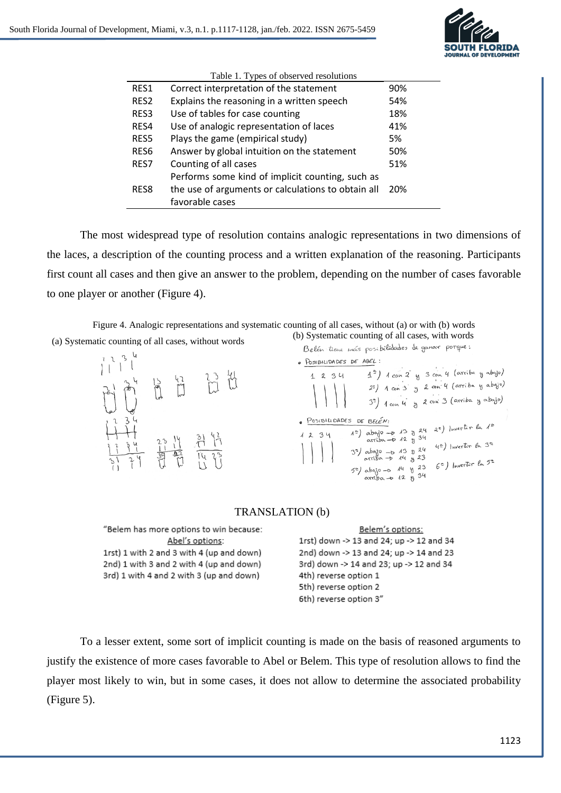

| Table 1. Types of observed resolutions |                                                    |     |  |  |  |  |
|----------------------------------------|----------------------------------------------------|-----|--|--|--|--|
| RES1                                   | Correct interpretation of the statement            | 90% |  |  |  |  |
| RES <sub>2</sub>                       | Explains the reasoning in a written speech         | 54% |  |  |  |  |
| RES <sub>3</sub>                       | Use of tables for case counting                    | 18% |  |  |  |  |
| RES4                                   | Use of analogic representation of laces            | 41% |  |  |  |  |
| RES5                                   | Plays the game (empirical study)                   | 5%  |  |  |  |  |
| RES <sub>6</sub>                       | Answer by global intuition on the statement        | 50% |  |  |  |  |
| RES7                                   | Counting of all cases                              | 51% |  |  |  |  |
|                                        | Performs some kind of implicit counting, such as   |     |  |  |  |  |
| RES8                                   | the use of arguments or calculations to obtain all | 20% |  |  |  |  |
|                                        | favorable cases                                    |     |  |  |  |  |

The most widespread type of resolution contains analogic representations in two dimensions of the laces, a description of the counting process and a written explanation of the reasoning. Participants first count all cases and then give an answer to the problem, depending on the number of cases favorable to one player or another (Figure 4).

Figure 4. Analogic representations and systematic counting of all cases, without (a) or with (b) words (a) Systematic counting of all cases, without words (b) Systematic counting of all cases, with words  $B_{\ell}$  time  $\ell_{\ell}$  respectively degener porque:



· POSIBILIDADES DE ABEL:  $4^{\circ}$ ) 1 con 2 y 3 con 4 (arriba y abajo)  $1234$  $2^2$ ) 1 con 3 g 2 con 4 (arriba y abajo) 3<sup>2</sup>) 1 con 4 g 2 con 3 (arriba y abajo) · POSIBILIDADES DE BELÉN: S DE BELEN:<br>A<sup>2</sup>) abojo - D 13 g 24 2<sup>2</sup>) Invertir la 1<sup>2</sup><br>arriba - D 12 g 34<br>(2) Invertir la 3<sup>2</sup>  $1234$ arriba -  $\sigma$  12 g <sup>34</sup><br>3<sup>2</sup> abajo - > 13 g 24<sup>42</sup>) Invertir la 3<sup>2</sup><br>arriba - > 14 g 23<br>11. 12 3 6<sup>2</sup>) Invertir la 5<sup>2</sup>  $5^{\circ}$  arriba -> 14 g 23<br> $5^{\circ}$  abajo -> 14 g 23  $6^{\circ}$ ) Invertir la 5<sup>2</sup><br>arriba -> 12 g 34

> 34 23

#### TRANSLATION (b)

| "Belem has more options to win because:   | Belem's options:                         |
|-------------------------------------------|------------------------------------------|
| Abel's options:                           | 1rst) down -> 13 and 24; up -> 12 and 34 |
| 1rst) 1 with 2 and 3 with 4 (up and down) | 2nd) down -> 13 and 24; up -> 14 and 23  |
| 2nd) 1 with 3 and 2 with 4 (up and down)  | 3rd) down -> 14 and 23; up -> 12 and 34  |
| 3rd) 1 with 4 and 2 with 3 (up and down)  | 4th) reverse option 1                    |
|                                           | 5th) reverse option 2                    |
|                                           | 6th) reverse option 3"                   |

To a lesser extent, some sort of implicit counting is made on the basis of reasoned arguments to justify the existence of more cases favorable to Abel or Belem. This type of resolution allows to find the player most likely to win, but in some cases, it does not allow to determine the associated probability (Figure 5).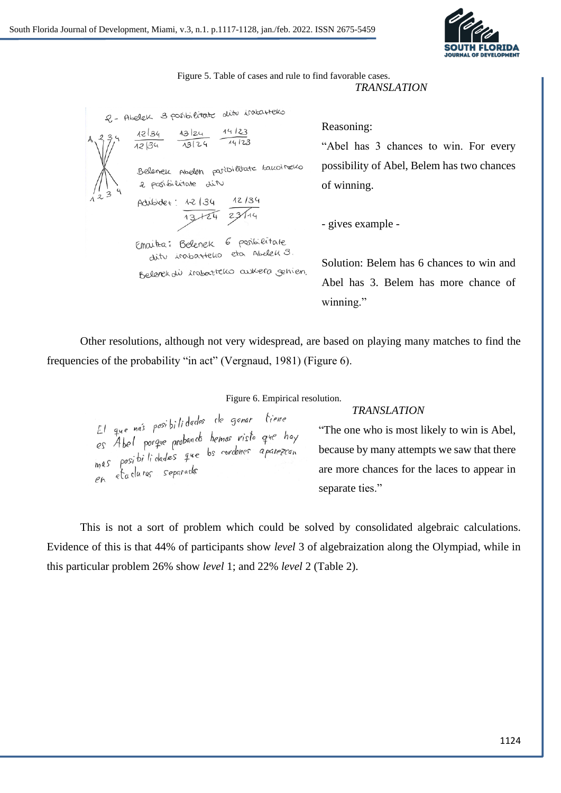

Figure 5. Table of cases and rule to find favorable cases. *TRANSLATION*

2 - Abelek 3 paribilitate ditu iratarteko  $12134$  $14123$ 13/24  $14123$  $13124$  $12134$ Belenek Abelen paribilitate bakoineko 2 posibilitate dit Adibidet: 12/34  $12/30$  $13124$ Emaitra: Belenek 6 posibilitate dit insbartello eta Abelek 3. Belenek dù irabarteko aukera gehien.

Reasoning:

"Abel has 3 chances to win. For every possibility of Abel, Belem has two chances of winning.

- gives example -

Solution: Belem has 6 chances to win and Abel has 3. Belem has more chance of winning."

Other resolutions, although not very widespread, are based on playing many matches to find the frequencies of the probability "in act" (Vergnaud, 1981) (Figure 6).

#### *TRANSLATION*

Figure 6. Empirical resolution.<br>
El que mas posibilidades de ganar diene<br>
es Abel porque probando hemos visto que hay<br>
mas posibilidades que bs cordones aparezean becau<br>
en ataduras separada are m

"The one who is most likely to win is Abel, because by many attempts we saw that there are more chances for the laces to appear in separate ties."

This is not a sort of problem which could be solved by consolidated algebraic calculations. Evidence of this is that 44% of participants show *level* 3 of algebraization along the Olympiad, while in this particular problem 26% show *level* 1; and 22% *level* 2 (Table 2).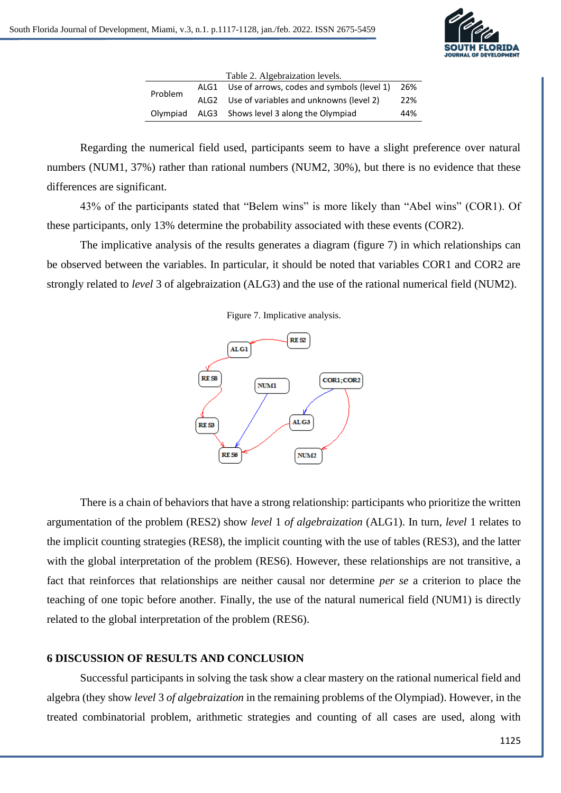

|          |      | Table 2. Algebraization levels.            |     |
|----------|------|--------------------------------------------|-----|
| Problem  | ALG1 | Use of arrows, codes and symbols (level 1) | 26% |
|          | ALG2 | Use of variables and unknowns (level 2)    | 22% |
| Olympiad |      | ALG3 Shows level 3 along the Olympiad      | 44% |

Regarding the numerical field used, participants seem to have a slight preference over natural numbers (NUM1, 37%) rather than rational numbers (NUM2, 30%), but there is no evidence that these differences are significant.

43% of the participants stated that "Belem wins" is more likely than "Abel wins" (COR1). Of these participants, only 13% determine the probability associated with these events (COR2).

The implicative analysis of the results generates a diagram (figure 7) in which relationships can be observed between the variables. In particular, it should be noted that variables COR1 and COR2 are strongly related to *level* 3 of algebraization (ALG3) and the use of the rational numerical field (NUM2).





There is a chain of behaviors that have a strong relationship: participants who prioritize the written argumentation of the problem (RES2) show *level* 1 *of algebraization* (ALG1). In turn, *level* 1 relates to the implicit counting strategies (RES8), the implicit counting with the use of tables (RES3), and the latter with the global interpretation of the problem (RES6). However, these relationships are not transitive, a fact that reinforces that relationships are neither causal nor determine *per se* a criterion to place the teaching of one topic before another. Finally, the use of the natural numerical field (NUM1) is directly related to the global interpretation of the problem (RES6).

# **6 DISCUSSION OF RESULTS AND CONCLUSION**

Successful participants in solving the task show a clear mastery on the rational numerical field and algebra (they show *level* 3 *of algebraization* in the remaining problems of the Olympiad). However, in the treated combinatorial problem, arithmetic strategies and counting of all cases are used, along with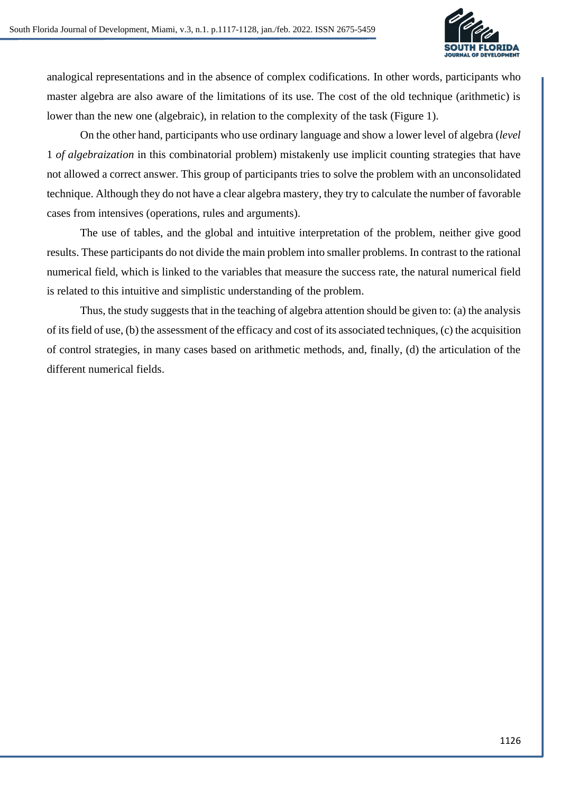

analogical representations and in the absence of complex codifications. In other words, participants who master algebra are also aware of the limitations of its use. The cost of the old technique (arithmetic) is lower than the new one (algebraic), in relation to the complexity of the task (Figure 1).

On the other hand, participants who use ordinary language and show a lower level of algebra (*level* 1 *of algebraization* in this combinatorial problem) mistakenly use implicit counting strategies that have not allowed a correct answer. This group of participants tries to solve the problem with an unconsolidated technique. Although they do not have a clear algebra mastery, they try to calculate the number of favorable cases from intensives (operations, rules and arguments).

The use of tables, and the global and intuitive interpretation of the problem, neither give good results. These participants do not divide the main problem into smaller problems. In contrast to the rational numerical field, which is linked to the variables that measure the success rate, the natural numerical field is related to this intuitive and simplistic understanding of the problem.

Thus, the study suggests that in the teaching of algebra attention should be given to: (a) the analysis of its field of use, (b) the assessment of the efficacy and cost of its associated techniques, (c) the acquisition of control strategies, in many cases based on arithmetic methods, and, finally, (d) the articulation of the different numerical fields.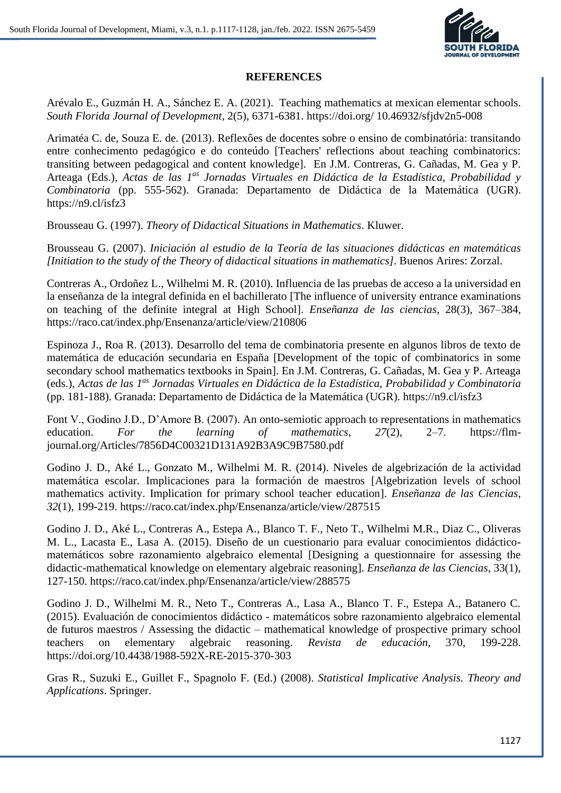

### **REFERENCES**

Arévalo E., Guzmán H. A., Sánchez E. A. (2021). Teaching mathematics at mexican elementar schools. *South Florida Journal of Development*, 2(5), 6371-6381. https://doi.org/ 10.46932/sfjdv2n5-008

Arimatéa C. de, Souza E. de. (2013). Reflexôes de docentes sobre o ensino de combinatória: transitando entre conhecimento pedagógico e do conteúdo [Teachers' reflections about teaching combinatorics: transiting between pedagogical and content knowledge]. En J.M. Contreras, G. Cañadas, M. Gea y P. Arteaga (Eds.), *Actas de las 1as Jornadas Virtuales en Didáctica de la Estadística, Probabilidad y Combinatoria* (pp. 555-562). Granada: Departamento de Didáctica de la Matemática (UGR). https://n9.cl/isfz3

Brousseau G. (1997). *Theory of Didactical Situations in Mathematics*. Kluwer.

Brousseau G. (2007). *Iniciación al estudio de la Teoría de las situaciones didácticas en matemáticas [Initiation to the study of the Theory of didactical situations in mathematics]*. Buenos Arires: Zorzal.

Contreras A., Ordoñez L., Wilhelmi M. R. (2010). Influencia de las pruebas de acceso a la universidad en la enseñanza de la integral definida en el bachillerato [The influence of university entrance examinations on teaching of the definite integral at High School]. *Enseñanza de las ciencias*, 28(3), 367–384, https://raco.cat/index.php/Ensenanza/article/view/210806

Espinoza J., Roa R. (2013). Desarrollo del tema de combinatoria presente en algunos libros de texto de matemática de educación secundaria en España [Development of the topic of combinatorics in some secondary school mathematics textbooks in Spain]. En J.M. Contreras, G. Cañadas, M. Gea y P. Arteaga (eds.), *Actas de las 1as Jornadas Virtuales en Didáctica de la Estadística, Probabilidad y Combinatoria* (pp. 181-188). Granada: Departamento de Didáctica de la Matemática (UGR). https://n9.cl/isfz3

Font V., Godino J.D., D'Amore B. (2007). An onto-semiotic approach to representations in mathematics education. *For the learning of mathematics*, *27*(2), 2–7. https://flmjournal.org/Articles/7856D4C00321D131A92B3A9C9B7580.pdf

Godino J. D., Aké L., Gonzato M., Wilhelmi M. R. (2014). Niveles de algebrización de la actividad matemática escolar. Implicaciones para la formación de maestros [Algebrization levels of school mathematics activity. Implication for primary school teacher education]. *Enseñanza de las Ciencias*, *32*(1), 199-219. https://raco.cat/index.php/Ensenanza/article/view/287515

Godino J. D., Aké L., Contreras A., Estepa A., Blanco T. F., Neto T., Wilhelmi M.R., Diaz C., Oliveras M. L., Lacasta E., Lasa A. (2015). Diseño de un cuestionario para evaluar conocimientos didácticomatemáticos sobre razonamiento algebraico elemental [Designing a questionnaire for assessing the didactic-mathematical knowledge on elementary algebraic reasoning]. *Enseñanza de las Ciencias*, 33(1), 127-150. https://raco.cat/index.php/Ensenanza/article/view/288575

Godino J. D., Wilhelmi M. R., Neto T., Contreras A., Lasa A., Blanco T. F., Estepa A., Batanero C. (2015). Evaluación de conocimientos didáctico - matemáticos sobre razonamiento algebraico elemental de futuros maestros / Assessing the didactic – mathematical knowledge of prospective primary school teachers on elementary algebraic reasoning. *Revista de educación*, 370, 199-228. https://doi.org/10.4438/1988-592X-RE-2015-370-303

Gras R., Suzuki E., Guillet F., Spagnolo F. (Ed.) (2008). *Statistical Implicative Analysis. Theory and Applications*. Springer.